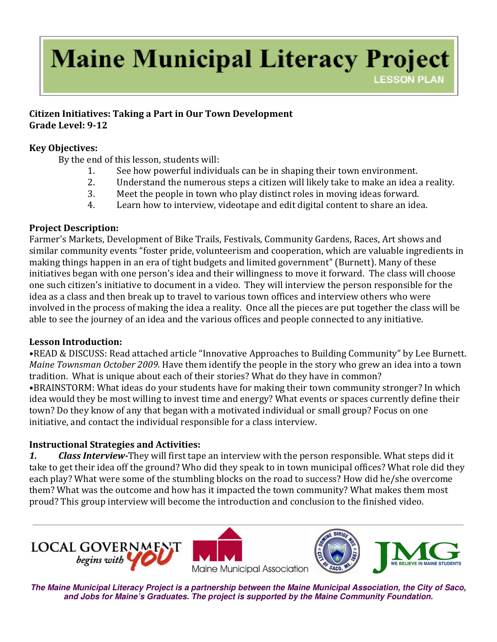# **Maine Municipal Literacy Project LESSON PLAN**

#### Citizen Initiatives: Taking a Part in Our Town Development Grade Level: 9-12

#### Key Objectives:

By the end of this lesson, students will:

- 1. See how powerful individuals can be in shaping their town environment.
- 2. Understand the numerous steps a citizen will likely take to make an idea a reality.
- 3. Meet the people in town who play distinct roles in moving ideas forward.
- 4. Learn how to interview, videotape and edit digital content to share an idea.

### Project Description:

Farmer's Markets, Development of Bike Trails, Festivals, Community Gardens, Races, Art shows and similar community events "foster pride, volunteerism and cooperation, which are valuable ingredients in making things happen in an era of tight budgets and limited government" (Burnett). Many of these initiatives began with one person's idea and their willingness to move it forward. The class will choose one such citizen's initiative to document in a video. They will interview the person responsible for the idea as a class and then break up to travel to various town offices and interview others who were involved in the process of making the idea a reality. Once all the pieces are put together the class will be able to see the journey of an idea and the various offices and people connected to any initiative.

### Lesson Introduction:

•READ & DISCUSS: Read attached article "Innovative Approaches to Building Community" by Lee Burnett. Maine Townsman October 2009. Have them identify the people in the story who grew an idea into a town tradition. What is unique about each of their stories? What do they have in common? •BRAINSTORM: What ideas do your students have for making their town community stronger? In which idea would they be most willing to invest time and energy? What events or spaces currently define their town? Do they know of any that began with a motivated individual or small group? Focus on one initiative, and contact the individual responsible for a class interview.

### Instructional Strategies and Activities:

1. Class Interview-They will first tape an interview with the person responsible. What steps did it take to get their idea off the ground? Who did they speak to in town municipal offices? What role did they each play? What were some of the stumbling blocks on the road to success? How did he/she overcome them? What was the outcome and how has it impacted the town community? What makes them most proud? This group interview will become the introduction and conclusion to the finished video.







**The Maine Municipal Literacy Project is a partnership between the Maine Municipal Association, the City of Saco, and Jobs for Maine's Graduates. The project is supported by the Maine Community Foundation.**